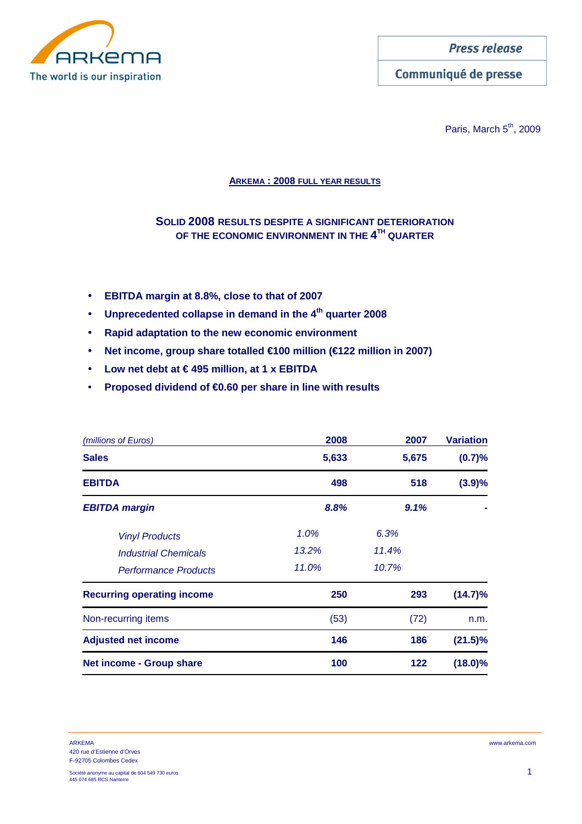

Communiqué de presse

Paris, March 5<sup>th</sup>, 2009

# **ARKEMA : 2008 FULL YEAR RESULTS**

# **SOLID 2008 RESULTS DESPITE A SIGNIFICANT DETERIORATION OF THE ECONOMIC ENVIRONMENT IN THE 4 TH QUARTER**

- **EBITDA margin at 8.8%, close to that of 2007**
- **Unprecedented collapse in demand in the 4th quarter 2008**
- **Rapid adaptation to the new economic environment**
- Net income, group share totalled €100 million (€122 million in 2007)
- **Low net debt at € 495 million, at 1 x EBITDA**
- **Proposed dividend of €0.60 per share in line with results**

| (millions of Euros)               | 2008  | 2007  | <b>Variation</b> |
|-----------------------------------|-------|-------|------------------|
| <b>Sales</b>                      | 5,633 | 5,675 | (0.7)%<br>(3.9)% |
| <b>EBITDA</b>                     | 498   | 518   |                  |
| <b>EBITDA</b> margin              | 8.8%  | 9.1%  |                  |
| <b>Vinyl Products</b>             | 1.0%  | 6.3%  |                  |
| <b>Industrial Chemicals</b>       | 13.2% | 11.4% |                  |
| <b>Performance Products</b>       | 11.0% | 10.7% |                  |
| <b>Recurring operating income</b> | 250   | 293   | $(14.7)\%$       |
| Non-recurring items               | (53)  | (72)  | n.m.             |
| <b>Adjusted net income</b>        | 146   | 186   | $(21.5)\%$       |
| <b>Net income - Group share</b>   | 100   | 122   | $(18.0)\%$       |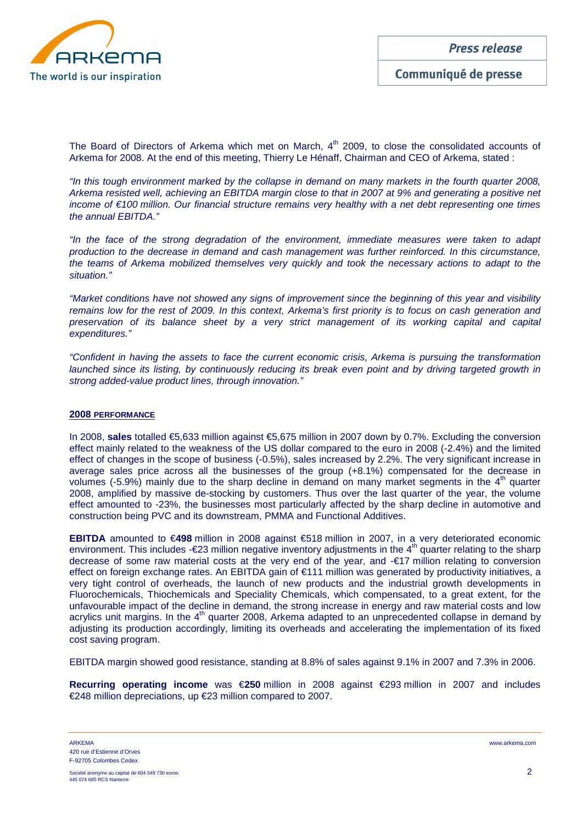

Communiqué de presse

The Board of Directors of Arkema which met on March,  $4<sup>th</sup>$  2009, to close the consolidated accounts of Arkema for 2008. At the end of this meeting, Thierry Le Hénaff, Chairman and CEO of Arkema, stated :

"In this tough environment marked by the collapse in demand on many markets in the fourth quarter 2008, Arkema resisted well, achieving an EBITDA margin close to that in 2007 at 9% and generating a positive net income of €100 million. Our financial structure remains very healthy with a net debt representing one times the annual EBITDA."

"In the face of the strong degradation of the environment, immediate measures were taken to adapt production to the decrease in demand and cash management was further reinforced. In this circumstance, the teams of Arkema mobilized themselves very quickly and took the necessary actions to adapt to the situation."

"Market conditions have not showed any signs of improvement since the beginning of this year and visibility remains low for the rest of 2009. In this context, Arkema's first priority is to focus on cash generation and preservation of its balance sheet by a very strict management of its working capital and capital expenditures."

"Confident in having the assets to face the current economic crisis, Arkema is pursuing the transformation launched since its listing, by continuously reducing its break even point and by driving targeted growth in strong added-value product lines, through innovation."

# **2008 PERFORMANCE**

In 2008, **sales** totalled €5,633 million against €5,675 million in 2007 down by 0.7%. Excluding the conversion effect mainly related to the weakness of the US dollar compared to the euro in 2008 (-2.4%) and the limited effect of changes in the scope of business (-0.5%), sales increased by 2.2%. The very significant increase in average sales price across all the businesses of the group (+8.1%) compensated for the decrease in volumes (-5.9%) mainly due to the sharp decline in demand on many market segments in the  $4<sup>th</sup>$  quarter 2008, amplified by massive de-stocking by customers. Thus over the last quarter of the year, the volume effect amounted to -23%, the businesses most particularly affected by the sharp decline in automotive and construction being PVC and its downstream, PMMA and Functional Additives.

**EBITDA** amounted to €**498** million in 2008 against €518 million in 2007, in a very deteriorated economic environment. This includes -€23 million negative inventory adjustments in the 4<sup>th</sup> quarter relating to the sharp decrease of some raw material costs at the very end of the year, and -€17 million relating to conversion effect on foreign exchange rates. An EBITDA gain of €111 million was generated by productivity initiatives, a very tight control of overheads, the launch of new products and the industrial growth developments in Fluorochemicals, Thiochemicals and Speciality Chemicals, which compensated, to a great extent, for the unfavourable impact of the decline in demand, the strong increase in energy and raw material costs and low acrylics unit margins. In the  $4<sup>th</sup>$  quarter 2008, Arkema adapted to an unprecedented collapse in demand by adjusting its production accordingly, limiting its overheads and accelerating the implementation of its fixed cost saving program.

EBITDA margin showed good resistance, standing at 8.8% of sales against 9.1% in 2007 and 7.3% in 2006.

**Recurring operating income** was €**250** million in 2008 against €293 million in 2007 and includes €248 million depreciations, up €23 million compared to 2007.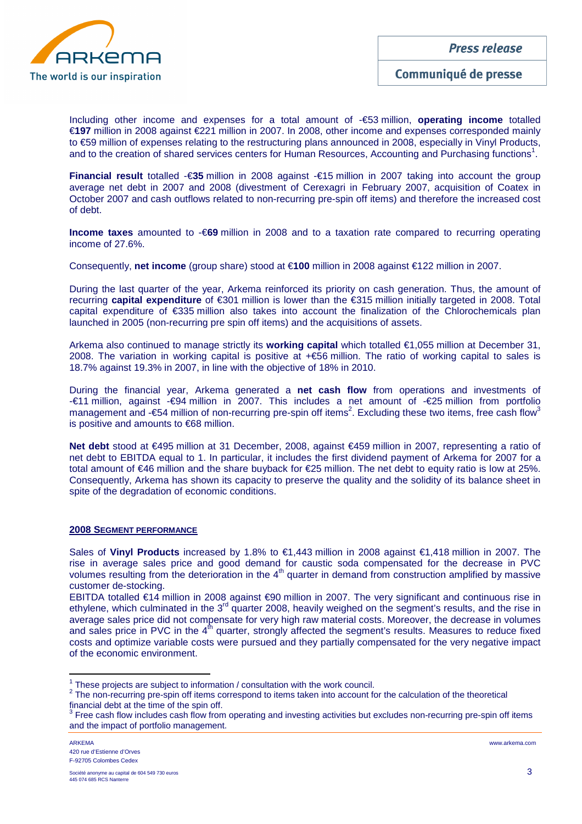

Including other income and expenses for a total amount of -€53 million, **operating income** totalled €**197** million in 2008 against €221 million in 2007. In 2008, other income and expenses corresponded mainly to €59 million of expenses relating to the restructuring plans announced in 2008, especially in Vinyl Products, and to the creation of shared services centers for Human Resources, Accounting and Purchasing functions<sup>1</sup>.

**Financial result** totalled -€**35** million in 2008 against -€15 million in 2007 taking into account the group average net debt in 2007 and 2008 (divestment of Cerexagri in February 2007, acquisition of Coatex in October 2007 and cash outflows related to non-recurring pre-spin off items) and therefore the increased cost of debt.

**Income taxes** amounted to -€**69** million in 2008 and to a taxation rate compared to recurring operating income of 27.6%.

Consequently, **net income** (group share) stood at €**100** million in 2008 against €122 million in 2007.

During the last quarter of the year, Arkema reinforced its priority on cash generation. Thus, the amount of recurring **capital expenditure** of €301 million is lower than the €315 million initially targeted in 2008. Total capital expenditure of €335 million also takes into account the finalization of the Chlorochemicals plan launched in 2005 (non-recurring pre spin off items) and the acquisitions of assets.

Arkema also continued to manage strictly its **working capital** which totalled €1,055 million at December 31, 2008. The variation in working capital is positive at +€56 million. The ratio of working capital to sales is 18.7% against 19.3% in 2007, in line with the objective of 18% in 2010.

During the financial year, Arkema generated a **net cash flow** from operations and investments of -€11 million, against -€94 million in 2007. This includes a net amount of -€25 million from portfolio management and -€54 million of non-recurring pre-spin off items<sup>2</sup>. Excluding these two items, free cash flow<sup>3</sup> is positive and amounts to €68 million.

**Net debt** stood at €495 million at 31 December, 2008, against €459 million in 2007, representing a ratio of net debt to EBITDA equal to 1. In particular, it includes the first dividend payment of Arkema for 2007 for a total amount of €46 million and the share buyback for €25 million. The net debt to equity ratio is low at 25%. Consequently, Arkema has shown its capacity to preserve the quality and the solidity of its balance sheet in spite of the degradation of economic conditions.

# **2008 SEGMENT PERFORMANCE**

Sales of **Vinyl Products** increased by 1.8% to €1,443 million in 2008 against €1,418 million in 2007. The rise in average sales price and good demand for caustic soda compensated for the decrease in PVC volumes resulting from the deterioration in the 4<sup>th</sup> quarter in demand from construction amplified by massive customer de-stocking.

EBITDA totalled €14 million in 2008 against €90 milion in 2007. The very significant and continuous rise in ethylene, which culminated in the 3<sup>rd</sup> quarter 2008, heavily weighed on the segment's results, and the rise in average sales price did not compensate for very high raw material costs. Moreover, the decrease in volumes and sales price in PVC in the  $4<sup>th</sup>$  quarter, strongly affected the segment's results. Measures to reduce fixed costs and optimize variable costs were pursued and they partially compensated for the very negative impact of the economic environment.

<sup>&</sup>lt;sup>1</sup> These projects are subject to information / consultation with the work council.

 $2$  The non-recurring pre-spin off items correspond to items taken into account for the calculation of the theoretical financial debt at the time of the spin off.

 $3$  Free cash flow includes cash flow from operating and investing activities but excludes non-recurring pre-spin off items and the impact of portfolio management.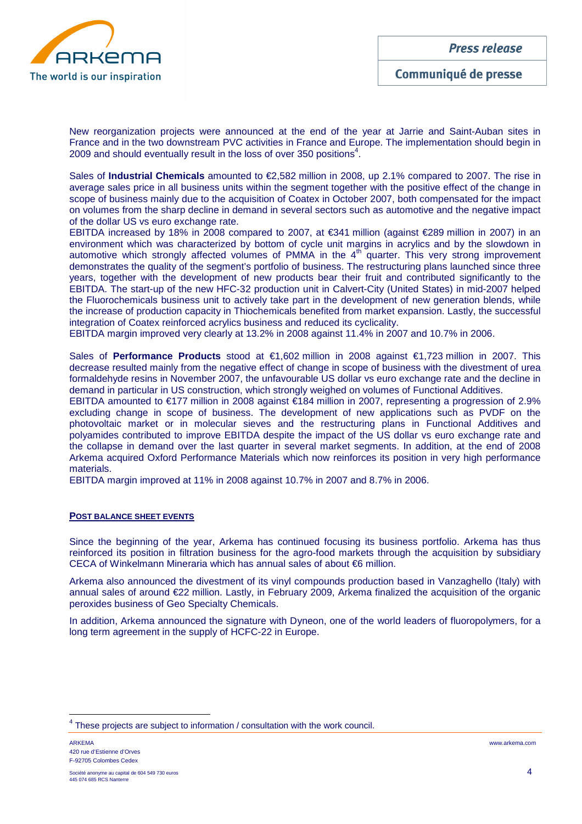

New reorganization projects were announced at the end of the year at Jarrie and Saint-Auban sites in France and in the two downstream PVC activities in France and Europe. The implementation should begin in 2009 and should eventually result in the loss of over 350 positions<sup>4</sup>.

Sales of **Industrial Chemicals** amounted to €2,582 million in 2008, up 2.1% compared to 2007. The rise in average sales price in all business units within the segment together with the positive effect of the change in scope of business mainly due to the acquisition of Coatex in October 2007, both compensated for the impact on volumes from the sharp decline in demand in several sectors such as automotive and the negative impact of the dollar US vs euro exchange rate.

EBITDA increased by 18% in 2008 compared to 2007, at €341 million (against €289 million in 2007) in an environment which was characterized by bottom of cycle unit margins in acrylics and by the slowdown in automotive which strongly affected volumes of PMMA in the  $4<sup>th</sup>$  quarter. This very strong improvement demonstrates the quality of the segment's portfolio of business. The restructuring plans launched since three years, together with the development of new products bear their fruit and contributed significantly to the EBITDA. The start-up of the new HFC-32 production unit in Calvert-City (United States) in mid-2007 helped the Fluorochemicals business unit to actively take part in the development of new generation blends, while the increase of production capacity in Thiochemicals benefited from market expansion. Lastly, the successful integration of Coatex reinforced acrylics business and reduced its cyclicality.

EBITDA margin improved very clearly at 13.2% in 2008 against 11.4% in 2007 and 10.7% in 2006.

Sales of **Performance Products** stood at €1,602 million in 2008 against €1,723 million in 2007. This decrease resulted mainly from the negative effect of change in scope of business with the divestment of urea formaldehyde resins in November 2007, the unfavourable US dollar vs euro exchange rate and the decline in demand in particular in US construction, which strongly weighed on volumes of Functional Additives.

EBITDA amounted to €177 million in 2008 against €184 million in 2007, representing a progression of 2.9% excluding change in scope of business. The development of new applications such as PVDF on the photovoltaic market or in molecular sieves and the restructuring plans in Functional Additives and polyamides contributed to improve EBITDA despite the impact of the US dollar vs euro exchange rate and the collapse in demand over the last quarter in several market segments. In addition, at the end of 2008 Arkema acquired Oxford Performance Materials which now reinforces its position in very high performance materials.

EBITDA margin improved at 11% in 2008 against 10.7% in 2007 and 8.7% in 2006.

#### **POST BALANCE SHEET EVENTS**

Since the beginning of the year, Arkema has continued focusing its business portfolio. Arkema has thus reinforced its position in filtration business for the agro-food markets through the acquisition by subsidiary CECA of Winkelmann Mineraria which has annual sales of about €6 million.

Arkema also announced the divestment of its vinyl compounds production based in Vanzaghello (Italy) with annual sales of around €22 million. Lastly, in February 2009, Arkema finalized the acquisition of the organic peroxides business of Geo Specialty Chemicals.

In addition, Arkema announced the signature with Dyneon, one of the world leaders of fluoropolymers, for a long term agreement in the supply of HCFC-22 in Europe.

 $4$  These projects are subject to information / consultation with the work council.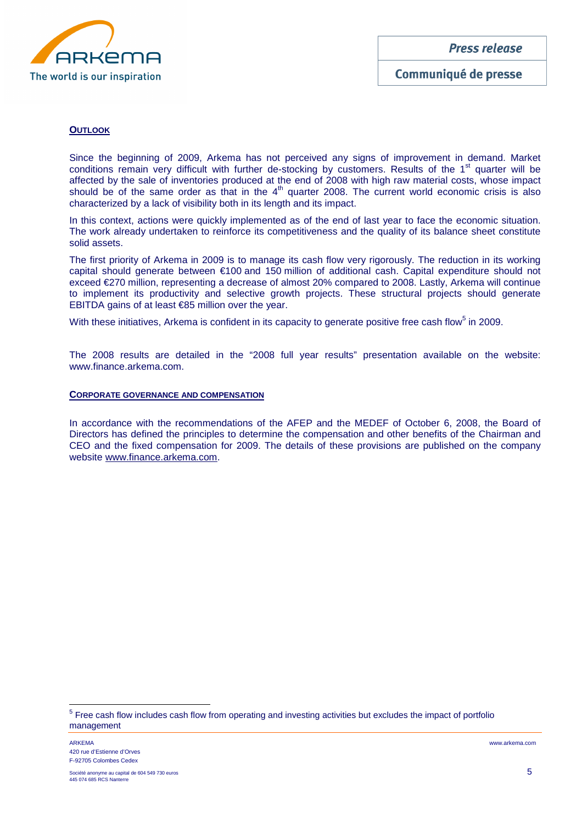

# **OUTLOOK**

Since the beginning of 2009, Arkema has not perceived any signs of improvement in demand. Market conditions remain very difficult with further de-stocking by customers. Results of the 1<sup>st</sup> quarter will be affected by the sale of inventories produced at the end of 2008 with high raw material costs, whose impact should be of the same order as that in the 4<sup>th</sup> quarter 2008. The current world economic crisis is also characterized by a lack of visibility both in its length and its impact.

In this context, actions were quickly implemented as of the end of last year to face the economic situation. The work already undertaken to reinforce its competitiveness and the quality of its balance sheet constitute solid assets.

The first priority of Arkema in 2009 is to manage its cash flow very rigorously. The reduction in its working capital should generate between €100 and 150 million of additional cash. Capital expenditure should not exceed €270 million, representing a decrease of almost 20% compared to 2008. Lastly, Arkema will continue to implement its productivity and selective growth projects. These structural projects should generate EBITDA gains of at least €85 million over the year.

With these initiatives, Arkema is confident in its capacity to generate positive free cash flow<sup>5</sup> in 2009.

The 2008 results are detailed in the "2008 full year results" presentation available on the website: www.finance.arkema.com.

## **CORPORATE GOVERNANCE AND COMPENSATION**

In accordance with the recommendations of the AFEP and the MEDEF of October 6, 2008, the Board of Directors has defined the principles to determine the compensation and other benefits of the Chairman and CEO and the fixed compensation for 2009. The details of these provisions are published on the company website www.finance.arkema.com.

<sup>&</sup>lt;sup>5</sup> Free cash flow includes cash flow from operating and investing activities but excludes the impact of portfolio management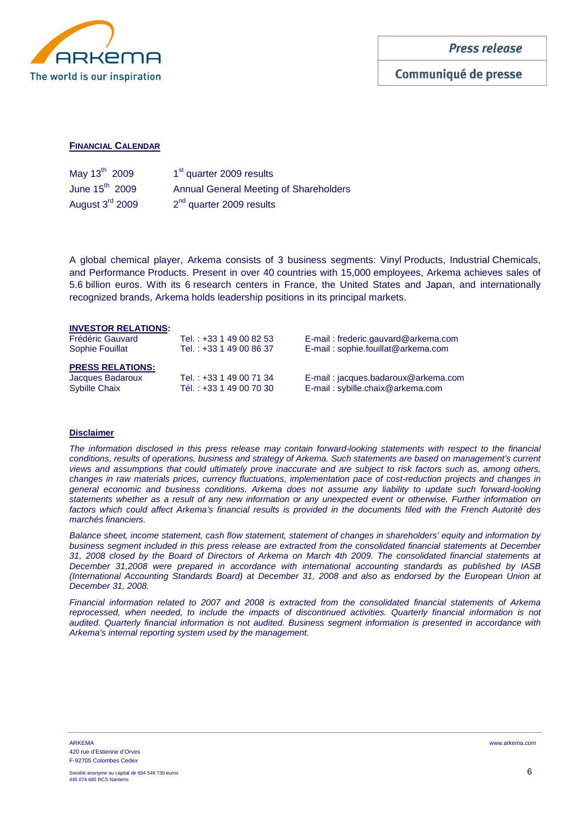

Communiqué de presse

# **FINANCIAL CALENDAR**

| May 13 <sup>th</sup> 2009   | 1 <sup>st</sup> quarter 2009 results          |
|-----------------------------|-----------------------------------------------|
| June $15^{\text{th}}$ 2009  | <b>Annual General Meeting of Shareholders</b> |
| August 3 <sup>rd</sup> 2009 | $2nd$ quarter 2009 results                    |

A global chemical player, Arkema consists of 3 business segments: Vinyl Products, Industrial Chemicals, and Performance Products. Present in over 40 countries with 15,000 employees, Arkema achieves sales of 5.6 billion euros. With its 6 research centers in France, the United States and Japan, and internationally recognized brands, Arkema holds leadership positions in its principal markets.

| <b>INVESTOR RELATIONS:</b> |                         |                                     |
|----------------------------|-------------------------|-------------------------------------|
| Frédéric Gauvard           | Tel.: +33 1 49 00 82 53 | E-mail: frederic.gauvard@arkema.com |
| Sophie Fouillat            | Tel.: +33 1 49 00 86 37 | E-mail: sophie.fouillat@arkema.com  |
| <b>PRESS RELATIONS:</b>    |                         |                                     |
| Jacques Badaroux           | Tel.: +33 1 49 00 71 34 | E-mail: jacques.badaroux@arkema.com |
| <b>Sybille Chaix</b>       | Tél.: +33 1 49 00 70 30 | E-mail: sybille.chaix@arkema.com    |

## **Disclaimer**

The information disclosed in this press release may contain forward-looking statements with respect to the financial conditions, results of operations, business and strategy of Arkema. Such statements are based on management's current views and assumptions that could ultimately prove inaccurate and are subject to risk factors such as, among others, changes in raw materials prices, currency fluctuations, implementation pace of cost-reduction projects and changes in general economic and business conditions. Arkema does not assume any liability to update such forward-looking statements whether as a result of any new information or any unexpected event or otherwise. Further information on factors which could affect Arkema's financial results is provided in the documents filed with the French Autorité des marchés financiers.

Balance sheet, income statement, cash flow statement, statement of changes in shareholders' equity and information by business segment included in this press release are extracted from the consolidated financial statements at December 31, 2008 closed by the Board of Directors of Arkema on March 4th 2009. The consolidated financial statements at December 31,2008 were prepared in accordance with international accounting standards as published by IASB (International Accounting Standards Board) at December 31, 2008 and also as endorsed by the European Union at December 31, 2008.

Financial information related to 2007 and 2008 is extracted from the consolidated financial statements of Arkema reprocessed, when needed, to include the impacts of discontinued activities. Quarterly financial information is not audited. Quarterly financial information is not audited. Business segment information is presented in accordance with Arkema's internal reporting system used by the management.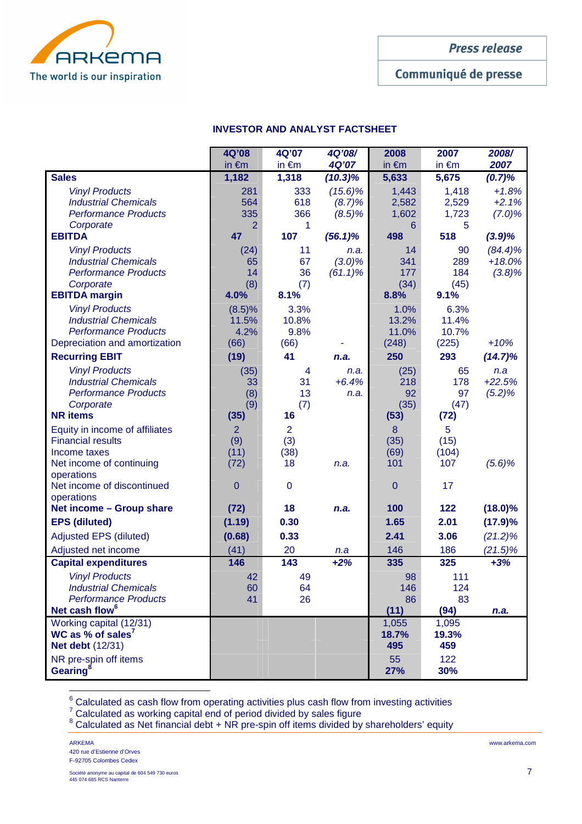

Communiqué de presse

# **INVESTOR AND ANALYST FACTSHEET**

|                                          | 4Q'08           | 4Q'07           | 4Q'08/     | 2008            | 2007            | 2008/      |
|------------------------------------------|-----------------|-----------------|------------|-----------------|-----------------|------------|
|                                          | in $\epsilon$ m | in $\epsilon$ m | 4Q'07      | in $\epsilon$ m | in $\epsilon$ m | 2007       |
| <b>Sales</b>                             | 1,182           | 1,318           | $(10.3)\%$ | 5,633           | 5,675           | (0.7)%     |
| <b>Vinyl Products</b>                    | 281             | 333             | $(15.6)\%$ | 1,443           | 1,418           | $+1.8%$    |
| <b>Industrial Chemicals</b>              | 564             | 618             | $(8.7)\%$  | 2,582           | 2,529           | $+2.1%$    |
| <b>Performance Products</b>              | 335             | 366             | $(8.5)\%$  | 1,602           | 1,723           | $(7.0)\%$  |
| Corporate                                | 2               | 1               |            | 6               | 5               |            |
| <b>EBITDA</b>                            | 47              | 107             | $(56.1)\%$ | 498             | 518             | (3.9)%     |
| <b>Vinyl Products</b>                    | (24)            | 11              | n.a.       | 14              | 90              | $(84.4)\%$ |
| <b>Industrial Chemicals</b>              | 65              | 67              | $(3.0)\%$  | 341             | 289             | $+18.0%$   |
| <b>Performance Products</b>              | 14              | 36              | $(61.1)\%$ | 177             | 184             | $(3.8)\%$  |
| Corporate                                | (8)             | (7)             |            | (34)            | (45)            |            |
| <b>EBITDA</b> margin                     | 4.0%            | 8.1%            |            | 8.8%            | 9.1%            |            |
| <b>Vinyl Products</b>                    | (8.5)%          | 3.3%            |            | 1.0%            | 6.3%            |            |
| <b>Industrial Chemicals</b>              | 11.5%           | 10.8%           |            | 13.2%           | 11.4%           |            |
| <b>Performance Products</b>              | 4.2%            | 9.8%            |            | 11.0%           | 10.7%           |            |
| Depreciation and amortization            | (66)            | (66)            |            | (248)           | (225)           | $+10%$     |
| <b>Recurring EBIT</b>                    | (19)            | 41              | n.a.       | 250             | 293             | $(14.7)\%$ |
| <b>Vinyl Products</b>                    | (35)            | 4               | n.a.       | (25)            | 65              | n.a        |
| <b>Industrial Chemicals</b>              | 33              | 31              | $+6.4%$    | 218             | 178             | $+22.5%$   |
| <b>Performance Products</b>              | (8)             | 13              | n.a.       | 92              | 97              | (5.2)%     |
| Corporate<br><b>NR</b> items             | (9)<br>(35)     | (7)<br>16       |            | (35)<br>(53)    | (47)<br>(72)    |            |
|                                          |                 |                 |            |                 |                 |            |
| Equity in income of affiliates           | $\overline{2}$  | $\overline{2}$  |            | 8               | 5               |            |
| <b>Financial results</b><br>Income taxes | (9)<br>(11)     | (3)<br>(38)     |            | (35)<br>(69)    | (15)<br>(104)   |            |
| Net income of continuing                 | (72)            | 18              | n.a.       | 101             | 107             | (5.6)%     |
| operations                               |                 |                 |            |                 |                 |            |
| Net income of discontinued               | $\overline{0}$  | 0               |            | $\mathbf 0$     | 17              |            |
| operations                               |                 |                 |            |                 |                 |            |
| Net income - Group share                 | (72)            | 18              | n.a.       | 100             | 122             | $(18.0)\%$ |
| <b>EPS (diluted)</b>                     | (1.19)          | 0.30            |            | 1.65            | 2.01            | (17.9)%    |
| <b>Adjusted EPS (diluted)</b>            | (0.68)          | 0.33            |            | 2.41            | 3.06            | $(21.2)\%$ |
| Adjusted net income                      | (41)            | 20              | n.a        | 146             | 186             | $(21.5)\%$ |
| <b>Capital expenditures</b>              | 146             | 143             | $+2%$      | 335             | 325             | $+3%$      |
| <b>Vinyl Products</b>                    | 42              | 49              |            | 98              | 111             |            |
| <b>Industrial Chemicals</b>              | 60              | 64              |            | 146             | 124             |            |
| <b>Performance Products</b>              | 41              | 26              |            | 86              | 83              |            |
| Net cash flow <sup>6</sup>               |                 |                 |            | (11)            | (94)            | n.a.       |
| Working capital (12/31)                  |                 |                 |            | 1,055           | 1,095           |            |
| WC as % of sales <sup>7</sup>            |                 |                 |            | 18.7%           | 19.3%           |            |
| <b>Net debt</b> (12/31)                  |                 |                 |            | 495             | 459             |            |
| NR pre-spin off items                    |                 |                 |            | 55              | 122             |            |
| Gearing                                  |                 |                 |            | 27%             | 30%             |            |

 $^6$  Calculated as cash flow from operating activities plus cash flow from investing activities  $^7$ <br> $\overline{C}$  Calculated as working capital end of period divided by sales figure

 $8$  Calculated as Net financial debt + NR pre-spin off items divided by shareholders' equity

ARKEMA www.arkema.com 420 rue d'Estienne d'Orves F-92705 Colombes Cedex

 $\overline{a}$ 

Société anonyme au capital de 604 549 730 euros **7 anos de seu autor de la proportat de la proportat de 50** 45<br>445 074 685 RCS Nanterre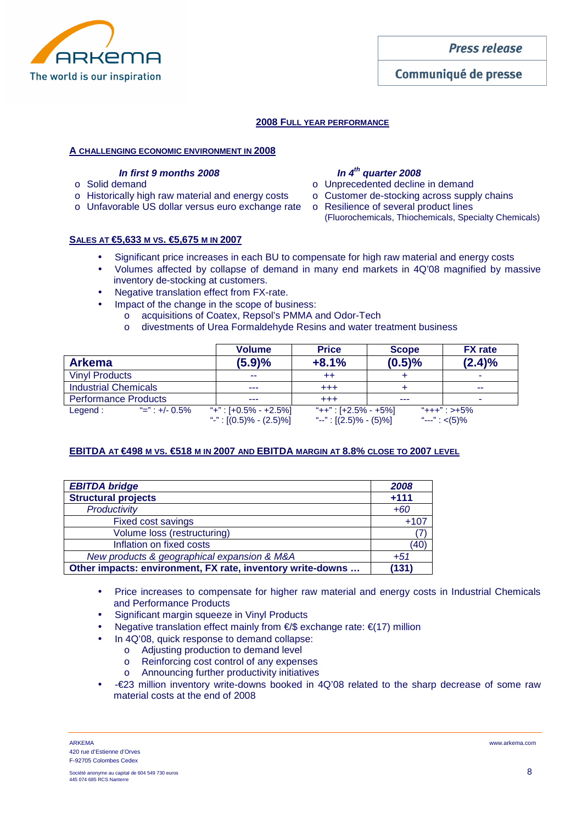

Communiqué de presse

(Fluorochemicals, Thiochemicals, Specialty Chemicals)

# **2008 FULL YEAR PERFORMANCE**

# **A CHALLENGING ECONOMIC ENVIRONMENT IN 2008**

# **In first 9 months 2008 In 4th quarter 2008**

- 
- o Solid demand<br>
o Historically high raw material and energy costs of Customer de-stocking across supply chains o Historically high raw material and energy costs o Customer de-stocking across supp<br>
o Unfavorable US dollar versus euro exchange rate o Resilience of several product lines
- o Unfavorable US dollar versus euro exchange rate

# **SALES AT €5,633 M VS. €5,675 M IN 2007**

- Significant price increases in each BU to compensate for high raw material and energy costs
- Volumes affected by collapse of demand in many end markets in 4Q'08 magnified by massive inventory de-stocking at customers.
	- Negative translation effect from FX-rate.
	- Impact of the change in the scope of business:
		- o acquisitions of Coatex, Repsol's PMMA and Odor-Tech
		- o divestments of Urea Formaldehyde Resins and water treatment business

|                             |                           | <b>Volume</b>                                          | <b>Price</b>                                       | <b>Scope</b> | <b>FX</b> rate                    |
|-----------------------------|---------------------------|--------------------------------------------------------|----------------------------------------------------|--------------|-----------------------------------|
| <b>Arkema</b>               |                           | (5.9)%                                                 | $+8.1%$                                            | (0.5)%       | (2.4)%                            |
| <b>Vinyl Products</b>       |                           | --                                                     | $++$                                               |              |                                   |
| <b>Industrial Chemicals</b> |                           | ---                                                    | $^{+++}$                                           |              | $\sim$                            |
| <b>Performance Products</b> |                           | ---                                                    | $^{+++}$                                           | ---          |                                   |
| Legend:                     | $\frac{42}{2}$ : +/- 0.5% | "+": $[+0.5\% - +2.5\%]$<br>"-": $[(0.5)\% - (2.5)\%]$ | "++" : [+2.5% - +5%]<br>"--" : $[(2.5)\% - (5)\%]$ |              | "+++" : >+5%<br>"---": $\lt(5)\%$ |

# **EBITDA AT €498 M VS. €518 M IN 2007 AND EBITDA MARGIN AT 8.8% CLOSE TO 2007 LEVEL**

| <b>EBITDA bridge</b>                                       | 2008   |
|------------------------------------------------------------|--------|
| <b>Structural projects</b>                                 | $+111$ |
| Productivity                                               | $+60$  |
| Fixed cost savings                                         | $+107$ |
| Volume loss (restructuring)                                |        |
| Inflation on fixed costs                                   | (40)   |
| New products & geographical expansion & M&A                | $+51$  |
| Other impacts: environment, FX rate, inventory write-downs | (131)  |

- Price increases to compensate for higher raw material and energy costs in Industrial Chemicals and Performance Products
- Significant margin squeeze in Vinyl Products
- Negative translation effect mainly from €/\$ exchange rate: €(17) million
- In 4Q'08, quick response to demand collapse:
	- o Adjusting production to demand level
	- o Reinforcing cost control of any expenses
	- o Announcing further productivity initiatives
- -€23 million inventory write-downs booked in 4Q'08 related to the sharp decrease of some raw material costs at the end of 2008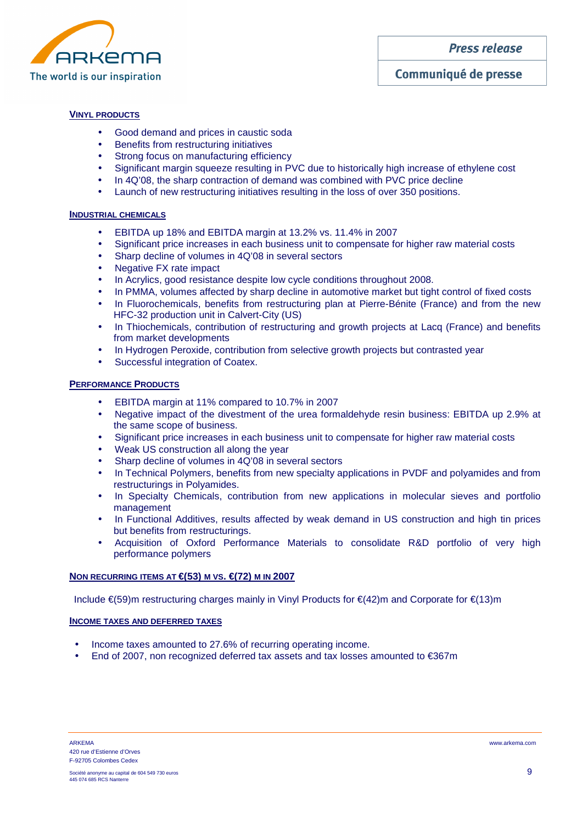

Communiqué de presse

# **VINYL PRODUCTS**

- Good demand and prices in caustic soda
- Benefits from restructuring initiatives
- Strong focus on manufacturing efficiency
- Significant margin squeeze resulting in PVC due to historically high increase of ethylene cost
- In 4Q'08, the sharp contraction of demand was combined with PVC price decline
- Launch of new restructuring initiatives resulting in the loss of over 350 positions.

# **INDUSTRIAL CHEMICALS**

- EBITDA up 18% and EBITDA margin at 13.2% vs. 11.4% in 2007
- Significant price increases in each business unit to compensate for higher raw material costs
- Sharp decline of volumes in 4Q'08 in several sectors
- Negative FX rate impact
- In Acrylics, good resistance despite low cycle conditions throughout 2008.
- In PMMA, volumes affected by sharp decline in automotive market but tight control of fixed costs
- In Fluorochemicals, benefits from restructuring plan at Pierre-Bénite (France) and from the new HFC-32 production unit in Calvert-City (US)
- In Thiochemicals, contribution of restructuring and growth projects at Lacq (France) and benefits from market developments
- In Hydrogen Peroxide, contribution from selective growth projects but contrasted year
- Successful integration of Coatex.

# **PERFORMANCE PRODUCTS**

- EBITDA margin at 11% compared to 10.7% in 2007
- Negative impact of the divestment of the urea formaldehyde resin business: EBITDA up 2.9% at the same scope of business.
- Significant price increases in each business unit to compensate for higher raw material costs
- Weak US construction all along the year
- Sharp decline of volumes in 4Q'08 in several sectors
- In Technical Polymers, benefits from new specialty applications in PVDF and polyamides and from restructurings in Polyamides.
- In Specialty Chemicals, contribution from new applications in molecular sieves and portfolio management
- In Functional Additives, results affected by weak demand in US construction and high tin prices but benefits from restructurings.
- Acquisition of Oxford Performance Materials to consolidate R&D portfolio of very high performance polymers

# **NON RECURRING ITEMS AT €(53) M VS. €(72) M IN 2007**

Include €(59)m restructuring charges mainly in Vinyl Products for €(42)m and Corporate for €(13)m

# **INCOME TAXES AND DEFERRED TAXES**

- Income taxes amounted to 27.6% of recurring operating income.
- End of 2007, non recognized deferred tax assets and tax losses amounted to  $\epsilon$ 367m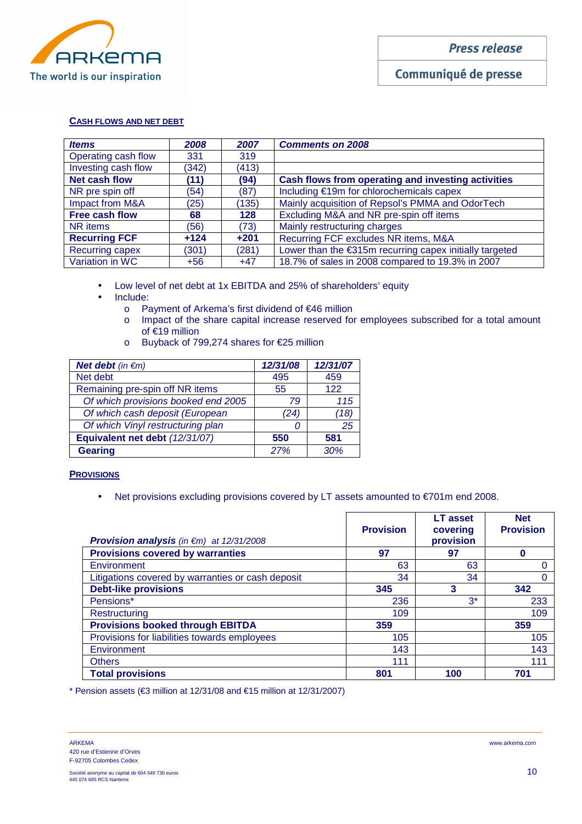

# **CASH FLOWS AND NET DEBT**

| <b>Items</b>         | 2008   | 2007   | <b>Comments on 2008</b>                                 |
|----------------------|--------|--------|---------------------------------------------------------|
| Operating cash flow  | 331    | 319    |                                                         |
| Investing cash flow  | (342)  | (413)  |                                                         |
| Net cash flow        | (11)   | (94)   | Cash flows from operating and investing activities      |
| NR pre spin off      | (54)   | (87)   | Including €19m for chlorochemicals capex                |
| Impact from M&A      | (25)   | (135)  | Mainly acquisition of Repsol's PMMA and OdorTech        |
| Free cash flow       | 68     | 128    | Excluding M&A and NR pre-spin off items                 |
| NR items             | (56)   | (73)   | Mainly restructuring charges                            |
| <b>Recurring FCF</b> | $+124$ | $+201$ | Recurring FCF excludes NR items, M&A                    |
| Recurring capex      | (301)  | (281)  | Lower than the €315m recurring capex initially targeted |
| Variation in WC      | $+56$  | $+47$  | 18.7% of sales in 2008 compared to 19.3% in 2007        |

- Low level of net debt at 1x EBITDA and 25% of shareholders' equity
- Include:
	- o Payment of Arkema's first dividend of €46 million
	- o Impact of the share capital increase reserved for employees subscribed for a total amount of €19 million
	- o Buyback of 799,274 shares for €25 million

| Net debt (in $\epsilon$ m)          | 12/31/08 | 12/31/07 |
|-------------------------------------|----------|----------|
| Net debt                            | 495      | 459      |
| Remaining pre-spin off NR items     | 55       | 122      |
| Of which provisions booked end 2005 | 79       | 115      |
| Of which cash deposit (European     | (24)     | 18.      |
| Of which Vinyl restructuring plan   |          | 25       |
| Equivalent net debt (12/31/07)      | 550      | 581      |
| <b>Gearing</b>                      | 27%      | 30%      |

# **PROVISIONS**

• Net provisions excluding provisions covered by LT assets amounted to €701m end 2008.

| <b>Provision analysis</b> (in $\notin$ m) at 12/31/2008 | <b>Provision</b> | <b>LT</b> asset<br>covering<br>provision | <b>Net</b><br><b>Provision</b> |
|---------------------------------------------------------|------------------|------------------------------------------|--------------------------------|
| <b>Provisions covered by warranties</b>                 | 97               | 97                                       |                                |
| Environment                                             | 63               | 63                                       |                                |
| Litigations covered by warranties or cash deposit       | 34               | 34                                       |                                |
| <b>Debt-like provisions</b>                             | 345              | 3                                        | 342                            |
| Pensions*                                               | 236              | $3^*$                                    | 233                            |
| Restructuring                                           | 109              |                                          | 109                            |
| <b>Provisions booked through EBITDA</b>                 | 359              |                                          | 359                            |
| Provisions for liabilities towards employees            | 105              |                                          | 105                            |
| Environment                                             | 143              |                                          | 143                            |
| <b>Others</b>                                           | 111              |                                          | 111                            |
| <b>Total provisions</b>                                 | 801              | 100                                      | 701                            |

\* Pension assets (€3 million at 12/31/08 and €15 milion at 12/31/2007)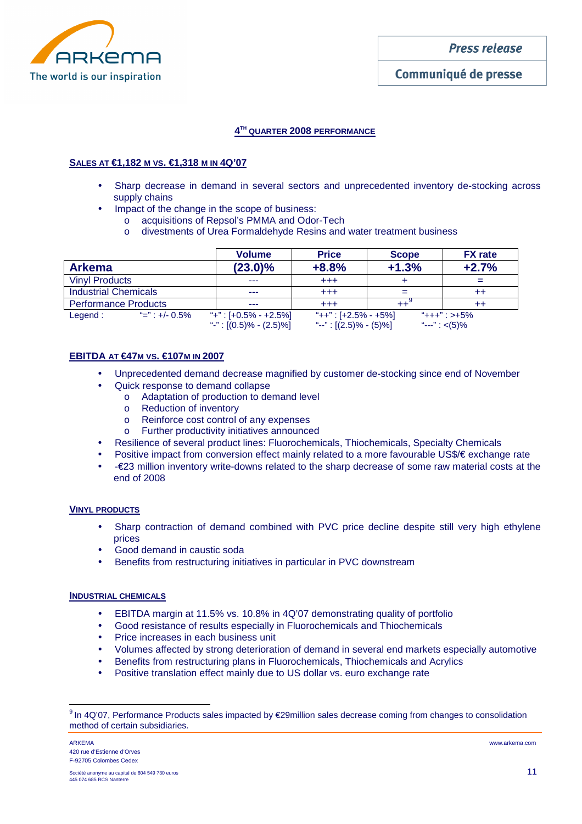

# **4 TH QUARTER 2008 PERFORMANCE**

# **SALES AT €1,182 M VS. €1,318 M IN 4Q'07**

- Sharp decrease in demand in several sectors and unprecedented inventory de-stocking across supply chains
- Impact of the change in the scope of business:
	- o acquisitions of Repsol's PMMA and Odor-Tech
		- o divestments of Urea Formaldehyde Resins and water treatment business

|                             |                       | <b>Volume</b>              | <b>Price</b>              | <b>Scope</b> | <b>FX</b> rate    |
|-----------------------------|-----------------------|----------------------------|---------------------------|--------------|-------------------|
| <b>Arkema</b>               |                       | $(23.0)\%$                 | $+8.8%$                   | $+1.3%$      | $+2.7%$           |
| <b>Vinyl Products</b>       |                       | ---                        | $^{+++}$                  |              |                   |
| <b>Industrial Chemicals</b> |                       | ---                        | $^{+++}$                  |              | $^{++}$           |
| <b>Performance Products</b> |                       | ---                        | $^{+++}$                  | $++$         | $^{\mathrm{+}}$   |
| Legend:                     | $\equiv$ " : +/- 0.5% | "+" : [+0.5% - +2.5%]      | "++" : [+2.5% - +5%]      |              | $"+++"$ : >+5%    |
|                             |                       | "-": $[(0.5)\% - (2.5)\%]$ | "--": $[(2.5)\% - (5)\%]$ |              | "---": $\lt(5)\%$ |

# **EBITDA AT €47M VS. €107M IN 2007**

- Unprecedented demand decrease magnified by customer de-stocking since end of November
- Quick response to demand collapse
	- o Adaptation of production to demand level
	- o Reduction of inventory
	- o Reinforce cost control of any expenses
	- o Further productivity initiatives announced
- Resilience of several product lines: Fluorochemicals, Thiochemicals, Specialty Chemicals
- Positive impact from conversion effect mainly related to a more favourable US\$/€ exchange rate
- -€23 million inventory write-downs related to the sharp decrease of some raw material costs at the end of 2008

# **VINYL PRODUCTS**

- Sharp contraction of demand combined with PVC price decline despite still very high ethylene prices
- Good demand in caustic soda
- Benefits from restructuring initiatives in particular in PVC downstream

# **INDUSTRIAL CHEMICALS**

- EBITDA margin at 11.5% vs. 10.8% in 4Q'07 demonstrating quality of portfolio
- Good resistance of results especially in Fluorochemicals and Thiochemicals
- Price increases in each business unit
- Volumes affected by strong deterioration of demand in several end markets especially automotive
	- Benefits from restructuring plans in Fluorochemicals, Thiochemicals and Acrylics
- Positive translation effect mainly due to US dollar vs. euro exchange rate

<sup>&</sup>lt;sup>9</sup> In 4Q'07, Performance Products sales impacted by €29million sales decrease coming from changes to consolidation method of certain subsidiaries.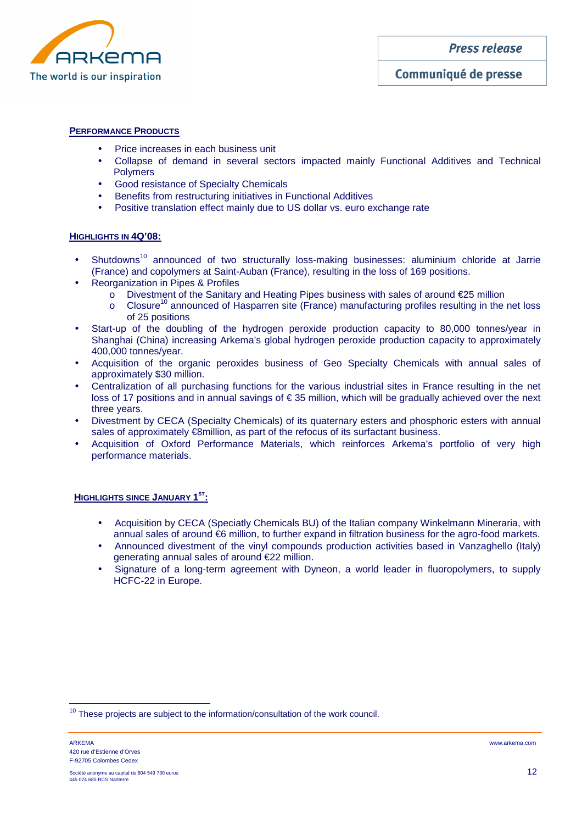

# **PERFORMANCE PRODUCTS**

- Price increases in each business unit
- Collapse of demand in several sectors impacted mainly Functional Additives and Technical **Polymers**
- Good resistance of Specialty Chemicals
- Benefits from restructuring initiatives in Functional Additives
- Positive translation effect mainly due to US dollar vs. euro exchange rate

# **HIGHLIGHTS IN 4Q'08:**

- Shutdowns<sup>10</sup> announced of two structurally loss-making businesses: aluminium chloride at Jarrie (France) and copolymers at Saint-Auban (France), resulting in the loss of 169 positions.
- Reorganization in Pipes & Profiles
	- o Divestment of the Sanitary and Heating Pipes business with sales of around €25 million of Closure<sup>10</sup> announced of Hasparren site (France) manufacturing profiles resulting in the i
	- Closure<sup>10</sup> announced of Hasparren site (France) manufacturing profiles resulting in the net loss of 25 positions
- Start-up of the doubling of the hydrogen peroxide production capacity to 80,000 tonnes/year in Shanghai (China) increasing Arkema's global hydrogen peroxide production capacity to approximately 400,000 tonnes/year.
- Acquisition of the organic peroxides business of Geo Specialty Chemicals with annual sales of approximately \$30 million.
- Centralization of all purchasing functions for the various industrial sites in France resulting in the net loss of 17 positions and in annual savings of € 35 million, which will be gradually achieved over the next three years.
- Divestment by CECA (Specialty Chemicals) of its quaternary esters and phosphoric esters with annual sales of approximately €8million, as part of the refocus of its surfactant business.
- Acquisition of Oxford Performance Materials, which reinforces Arkema's portfolio of very high performance materials.

# **HIGHLIGHTS SINCE JANUARY 1 ST:**

- Acquisition by CECA (Speciatly Chemicals BU) of the Italian company Winkelmann Mineraria, with annual sales of around €6 million, to further expand in filtration business for the agro-food markets.
- Announced divestment of the vinyl compounds production activities based in Vanzaghello (Italy) generating annual sales of around €22 million.
- Signature of a long-term agreement with Dyneon, a world leader in fluoropolymers, to supply HCFC-22 in Europe.

 $10$  These projects are subject to the information/consultation of the work council.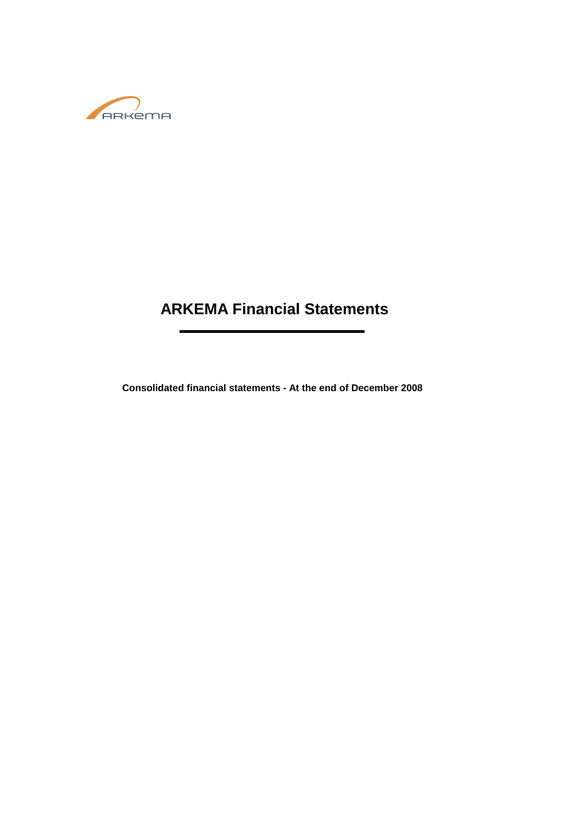

# **ARKEMA Financial Statements**

**Consolidated financial statements - At the end of December 2008**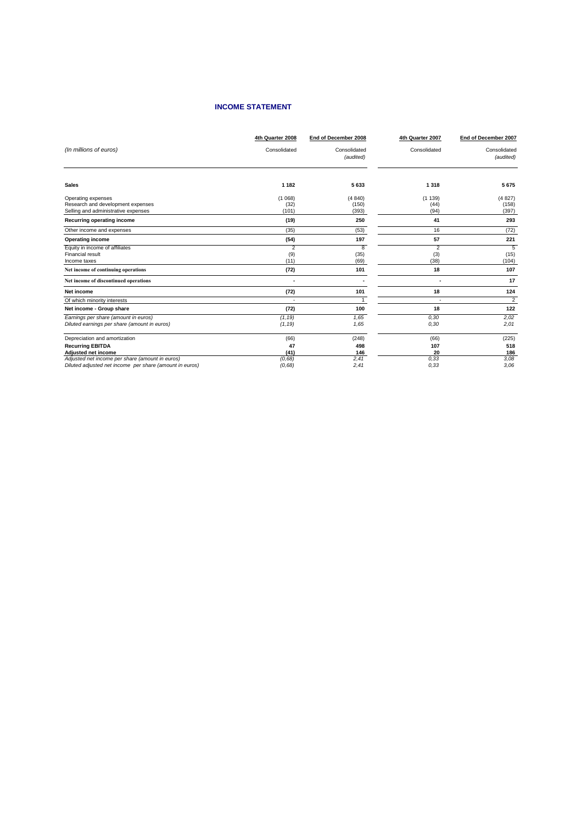# **INCOME STATEMENT**

|                                                                                                            | 4th Quarter 2008        | End of December 2008      | 4th Quarter 2007              | End of December 2007      |
|------------------------------------------------------------------------------------------------------------|-------------------------|---------------------------|-------------------------------|---------------------------|
| (In millions of euros)                                                                                     | Consolidated            | Consolidated<br>(audited) | Consolidated                  | Consolidated<br>(audited) |
| <b>Sales</b>                                                                                               | 1 1 8 2                 | 5 633                     | 1 3 1 8                       | 5675                      |
| Operating expenses<br>Research and development expenses<br>Selling and administrative expenses             | (1068)<br>(32)<br>(101) | (4840)<br>(150)<br>(393)  | (1139)<br>(44)<br>(94)        | (4827)<br>(158)<br>(397)  |
| Recurring operating income                                                                                 | (19)                    | 250                       | 41                            | 293                       |
| Other income and expenses                                                                                  | (35)                    | (53)                      | 16                            | (72)                      |
| <b>Operating income</b>                                                                                    | (54)                    | 197                       | 57                            | 221                       |
| Equity in income of affiliates<br><b>Financial result</b><br>Income taxes                                  | 2<br>(9)<br>(11)        | 8<br>(35)<br>(69)         | $\overline{2}$<br>(3)<br>(38) | 5<br>(15)<br>(104)        |
| Net income of continuing operations                                                                        | (72)                    | 101                       | 18                            | 107                       |
| Net income of discontinued operations                                                                      | ٠                       |                           | ٠                             | 17                        |
| Net income                                                                                                 | (72)                    | 101                       | 18                            | 124                       |
| Of which minority interests                                                                                | ٠                       | 1                         |                               | $\overline{2}$            |
| Net income - Group share                                                                                   | (72)                    | 100                       | 18                            | 122                       |
| Earnings per share (amount in euros)<br>Diluted earnings per share (amount in euros)                       | (1, 19)<br>(1, 19)      | 1.65<br>1,65              | 0,30<br>0,30                  | 2,02<br>2,01              |
| Depreciation and amortization                                                                              | (66)                    | (248)                     | (66)                          | (225)                     |
| <b>Recurring EBITDA</b><br>Adjusted net income                                                             | 47<br>(41)              | 498<br>146                | 107<br>20                     | 518<br>186                |
| Adjusted net income per share (amount in euros)<br>Diluted adjusted net income per share (amount in euros) | (0.68)<br>(0,68)        | 2,41<br>2,41              | 0,33<br>0,33                  | 3,08<br>3,06              |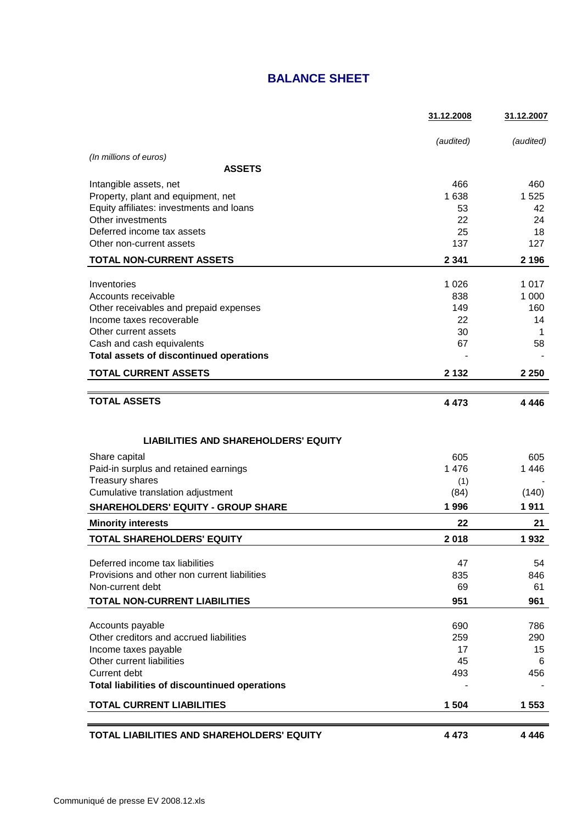# **BALANCE SHEET**

|                                                                      | 31.12.2008  | 31.12.2007  |
|----------------------------------------------------------------------|-------------|-------------|
|                                                                      | (audited)   | (audited)   |
| (In millions of euros)                                               |             |             |
| <b>ASSETS</b>                                                        |             |             |
| Intangible assets, net                                               | 466         | 460         |
| Property, plant and equipment, net                                   | 1638        | 1 5 2 5     |
| Equity affiliates: investments and loans                             | 53          | 42          |
| Other investments<br>Deferred income tax assets                      | 22<br>25    | 24<br>18    |
| Other non-current assets                                             | 137         | 127         |
| <b>TOTAL NON-CURRENT ASSETS</b>                                      | 2 3 4 1     | 2 1 9 6     |
|                                                                      |             |             |
| Inventories                                                          | 1 0 2 6     | 1 0 1 7     |
| Accounts receivable                                                  | 838         | 1 0 0 0     |
| Other receivables and prepaid expenses                               | 149         | 160         |
| Income taxes recoverable                                             | 22          | 14          |
| Other current assets                                                 | 30          | 1           |
| Cash and cash equivalents                                            | 67          | 58          |
| Total assets of discontinued operations                              |             |             |
| <b>TOTAL CURRENT ASSETS</b>                                          | 2 1 3 2     | 2 2 5 0     |
| <b>TOTAL ASSETS</b>                                                  | 4 4 7 3     | 4 4 4 6     |
| <b>LIABILITIES AND SHAREHOLDERS' EQUITY</b>                          |             |             |
| Share capital<br>Paid-in surplus and retained earnings               | 605<br>1476 | 605<br>1446 |
| Treasury shares                                                      | (1)         |             |
| Cumulative translation adjustment                                    | (84)        | (140)       |
| <b>SHAREHOLDERS' EQUITY - GROUP SHARE</b>                            | 1996        | 1911        |
| <b>Minority interests</b>                                            | 22          | 21          |
| <b>TOTAL SHAREHOLDERS' EQUITY</b>                                    | 2018        | 1932        |
| Deferred income tax liabilities                                      | 47          | 54          |
| Provisions and other non current liabilities                         | 835         | 846         |
| Non-current debt                                                     | 69          | 61          |
| <b>TOTAL NON-CURRENT LIABILITIES</b>                                 | 951         | 961         |
|                                                                      |             |             |
| Accounts payable                                                     | 690         | 786         |
| Other creditors and accrued liabilities                              | 259         | 290         |
| Income taxes payable                                                 | 17          | 15          |
| Other current liabilities                                            | 45          | 6           |
| Current debt<br><b>Total liabilities of discountinued operations</b> | 493         | 456         |
| <b>TOTAL CURRENT LIABILITIES</b>                                     | 1 504       | 1 5 5 3     |
|                                                                      |             |             |
| TOTAL LIABILITIES AND SHAREHOLDERS' EQUITY                           | 4 4 7 3     | 4 4 4 6     |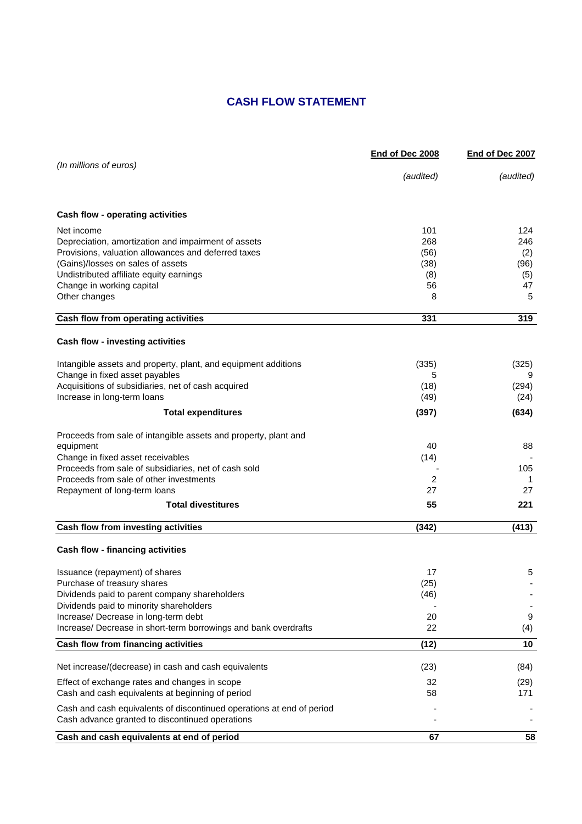# **CASH FLOW STATEMENT**

| (audited)<br>(audited)<br><b>Cash flow - operating activities</b><br>Net income<br>101<br>124<br>268<br>Depreciation, amortization and impairment of assets<br>246<br>Provisions, valuation allowances and deferred taxes<br>(56)<br>(2)<br>(Gains)/losses on sales of assets<br>(38)<br>(96)<br>Undistributed affiliate equity earnings<br>(8)<br>(5)<br>Change in working capital<br>56<br>47<br>Other changes<br>8<br>5<br>Cash flow from operating activities<br>331<br>319<br><b>Cash flow - investing activities</b><br>Intangible assets and property, plant, and equipment additions<br>(335)<br>(325)<br>Change in fixed asset payables<br>5<br>9<br>Acquisitions of subsidiaries, net of cash acquired<br>(294)<br>(18)<br>Increase in long-term loans<br>(49)<br>(24) |                        | End of Dec 2008 | End of Dec 2007 |
|----------------------------------------------------------------------------------------------------------------------------------------------------------------------------------------------------------------------------------------------------------------------------------------------------------------------------------------------------------------------------------------------------------------------------------------------------------------------------------------------------------------------------------------------------------------------------------------------------------------------------------------------------------------------------------------------------------------------------------------------------------------------------------|------------------------|-----------------|-----------------|
|                                                                                                                                                                                                                                                                                                                                                                                                                                                                                                                                                                                                                                                                                                                                                                                  | (In millions of euros) |                 |                 |
|                                                                                                                                                                                                                                                                                                                                                                                                                                                                                                                                                                                                                                                                                                                                                                                  |                        |                 |                 |
|                                                                                                                                                                                                                                                                                                                                                                                                                                                                                                                                                                                                                                                                                                                                                                                  |                        |                 |                 |
|                                                                                                                                                                                                                                                                                                                                                                                                                                                                                                                                                                                                                                                                                                                                                                                  |                        |                 |                 |
|                                                                                                                                                                                                                                                                                                                                                                                                                                                                                                                                                                                                                                                                                                                                                                                  |                        |                 |                 |
|                                                                                                                                                                                                                                                                                                                                                                                                                                                                                                                                                                                                                                                                                                                                                                                  |                        |                 |                 |
|                                                                                                                                                                                                                                                                                                                                                                                                                                                                                                                                                                                                                                                                                                                                                                                  |                        |                 |                 |
|                                                                                                                                                                                                                                                                                                                                                                                                                                                                                                                                                                                                                                                                                                                                                                                  |                        |                 |                 |
|                                                                                                                                                                                                                                                                                                                                                                                                                                                                                                                                                                                                                                                                                                                                                                                  |                        |                 |                 |
|                                                                                                                                                                                                                                                                                                                                                                                                                                                                                                                                                                                                                                                                                                                                                                                  |                        |                 |                 |
|                                                                                                                                                                                                                                                                                                                                                                                                                                                                                                                                                                                                                                                                                                                                                                                  |                        |                 |                 |
|                                                                                                                                                                                                                                                                                                                                                                                                                                                                                                                                                                                                                                                                                                                                                                                  |                        |                 |                 |
|                                                                                                                                                                                                                                                                                                                                                                                                                                                                                                                                                                                                                                                                                                                                                                                  |                        |                 |                 |
|                                                                                                                                                                                                                                                                                                                                                                                                                                                                                                                                                                                                                                                                                                                                                                                  |                        |                 |                 |
|                                                                                                                                                                                                                                                                                                                                                                                                                                                                                                                                                                                                                                                                                                                                                                                  |                        |                 |                 |
| <b>Total expenditures</b><br>(397)<br>(634)                                                                                                                                                                                                                                                                                                                                                                                                                                                                                                                                                                                                                                                                                                                                      |                        |                 |                 |
| Proceeds from sale of intangible assets and property, plant and                                                                                                                                                                                                                                                                                                                                                                                                                                                                                                                                                                                                                                                                                                                  |                        |                 |                 |
| equipment<br>40<br>88                                                                                                                                                                                                                                                                                                                                                                                                                                                                                                                                                                                                                                                                                                                                                            |                        |                 |                 |
| Change in fixed asset receivables<br>(14)                                                                                                                                                                                                                                                                                                                                                                                                                                                                                                                                                                                                                                                                                                                                        |                        |                 |                 |
| Proceeds from sale of subsidiaries, net of cash sold<br>105                                                                                                                                                                                                                                                                                                                                                                                                                                                                                                                                                                                                                                                                                                                      |                        |                 |                 |
| Proceeds from sale of other investments<br>2<br>1                                                                                                                                                                                                                                                                                                                                                                                                                                                                                                                                                                                                                                                                                                                                |                        |                 |                 |
| 27<br>27<br>Repayment of long-term loans                                                                                                                                                                                                                                                                                                                                                                                                                                                                                                                                                                                                                                                                                                                                         |                        |                 |                 |
| <b>Total divestitures</b><br>55<br>221                                                                                                                                                                                                                                                                                                                                                                                                                                                                                                                                                                                                                                                                                                                                           |                        |                 |                 |
| Cash flow from investing activities<br>(342)<br>(413)                                                                                                                                                                                                                                                                                                                                                                                                                                                                                                                                                                                                                                                                                                                            |                        |                 |                 |
| <b>Cash flow - financing activities</b>                                                                                                                                                                                                                                                                                                                                                                                                                                                                                                                                                                                                                                                                                                                                          |                        |                 |                 |
| Issuance (repayment) of shares<br>17<br>5                                                                                                                                                                                                                                                                                                                                                                                                                                                                                                                                                                                                                                                                                                                                        |                        |                 |                 |
| Purchase of treasury shares<br>(25)                                                                                                                                                                                                                                                                                                                                                                                                                                                                                                                                                                                                                                                                                                                                              |                        |                 |                 |
| Dividends paid to parent company shareholders<br>(46)                                                                                                                                                                                                                                                                                                                                                                                                                                                                                                                                                                                                                                                                                                                            |                        |                 |                 |
| Dividends paid to minority shareholders                                                                                                                                                                                                                                                                                                                                                                                                                                                                                                                                                                                                                                                                                                                                          |                        |                 |                 |
| Increase/ Decrease in long-term debt<br>20<br>9                                                                                                                                                                                                                                                                                                                                                                                                                                                                                                                                                                                                                                                                                                                                  |                        |                 |                 |
| 22<br>Increase/ Decrease in short-term borrowings and bank overdrafts<br>(4)                                                                                                                                                                                                                                                                                                                                                                                                                                                                                                                                                                                                                                                                                                     |                        |                 |                 |
| Cash flow from financing activities<br>(12)<br>10                                                                                                                                                                                                                                                                                                                                                                                                                                                                                                                                                                                                                                                                                                                                |                        |                 |                 |
| Net increase/(decrease) in cash and cash equivalents<br>(23)<br>(84)                                                                                                                                                                                                                                                                                                                                                                                                                                                                                                                                                                                                                                                                                                             |                        |                 |                 |
| Effect of exchange rates and changes in scope<br>32<br>(29)                                                                                                                                                                                                                                                                                                                                                                                                                                                                                                                                                                                                                                                                                                                      |                        |                 |                 |
| Cash and cash equivalents at beginning of period<br>58<br>171                                                                                                                                                                                                                                                                                                                                                                                                                                                                                                                                                                                                                                                                                                                    |                        |                 |                 |
| Cash and cash equivalents of discontinued operations at end of period                                                                                                                                                                                                                                                                                                                                                                                                                                                                                                                                                                                                                                                                                                            |                        |                 |                 |
| Cash advance granted to discontinued operations                                                                                                                                                                                                                                                                                                                                                                                                                                                                                                                                                                                                                                                                                                                                  |                        |                 |                 |
| Cash and cash equivalents at end of period<br>58<br>67                                                                                                                                                                                                                                                                                                                                                                                                                                                                                                                                                                                                                                                                                                                           |                        |                 |                 |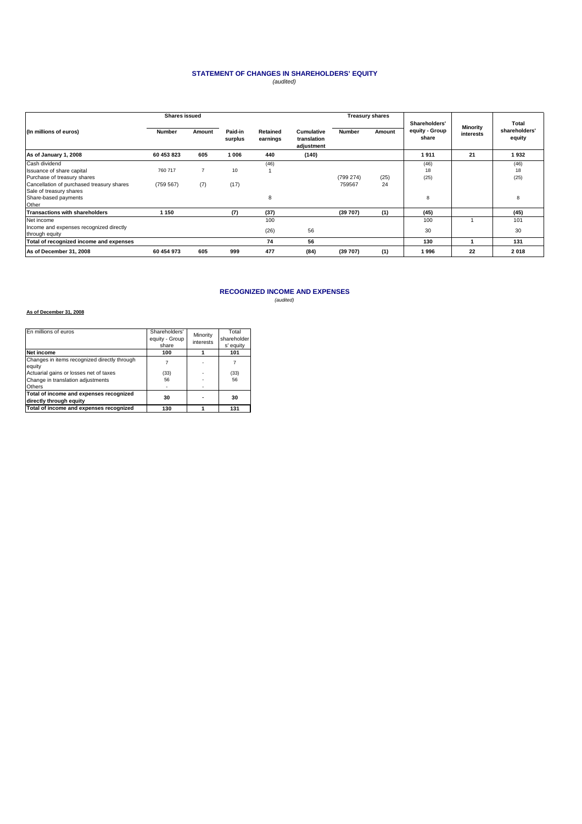#### **STATEMENT OF CHANGES IN SHAREHOLDERS' EQUITY** (audited)

|                                                                                                                                                                                    | <b>Shares issued</b> |                       | <b>Treasury shares</b> |                      |                                                |                     |            |                                          |                       |                                  |
|------------------------------------------------------------------------------------------------------------------------------------------------------------------------------------|----------------------|-----------------------|------------------------|----------------------|------------------------------------------------|---------------------|------------|------------------------------------------|-----------------------|----------------------------------|
| (In millions of euros)                                                                                                                                                             | <b>Number</b>        | Amount                | Paid-in<br>surplus     | Retained<br>earnings | <b>Cumulative</b><br>translation<br>adjustment | <b>Number</b>       | Amount     | Shareholders'<br>equity - Group<br>share | Minority<br>interests | Total<br>shareholders'<br>equity |
| As of January 1, 2008                                                                                                                                                              | 60 453 823           | 605                   | 1 0 0 6                | 440                  | (140)                                          |                     |            | 1911                                     | 21                    | 1932                             |
| Cash dividend<br>Issuance of share capital<br>Purchase of treasury shares<br>Cancellation of purchased treasury shares<br>Sale of treasury shares<br>Share-based payments<br>Other | 760 717<br>(759 567) | $\overline{7}$<br>(7) | 10<br>(17)             | (46)<br>8            |                                                | (799 274)<br>759567 | (25)<br>24 | (46)<br>18<br>(25)<br>8                  |                       | (46)<br>18<br>(25)               |
| <b>Transactions with shareholders</b>                                                                                                                                              | 1 1 5 0              |                       | (7)                    | (37)                 |                                                | (39707)             | (1)        | (45)                                     |                       | (45)                             |
| Net income<br>Income and expenses recognized directly<br>through equity                                                                                                            |                      |                       |                        | 100<br>(26)          | 56                                             |                     |            | 100<br>30                                |                       | 101<br>30                        |
| Total of recognized income and expenses                                                                                                                                            |                      |                       |                        | 74                   | 56                                             |                     |            | 130                                      |                       | 131                              |
| As of December 31, 2008                                                                                                                                                            | 60 454 973           | 605                   | 999                    | 477                  | (84)                                           | (39707)             | (1)        | 1996                                     | 22                    | 2018                             |

#### **RECOGNIZED INCOME AND EXPENSES**

#### (audited)

#### **As of December 31, 2008**

| En millions of euros                         | Shareholders'  | Minority                 | Total     |
|----------------------------------------------|----------------|--------------------------|-----------|
|                                              | equity - Group | shareholder<br>interests |           |
|                                              | share          |                          | s' equity |
| Net income                                   | 100            |                          | 101       |
| Changes in items recognized directly through |                |                          |           |
| equity                                       |                |                          |           |
| Actuarial gains or losses net of taxes       | (33)           |                          | (33)      |
| Change in translation adjustments            | 56             |                          | 56        |
| <b>Others</b>                                |                |                          |           |
| Total of income and expenses recognized      | 30             |                          | 30        |
| directly through equity                      |                |                          |           |
| Total of income and expenses recognized      | 130            |                          | 131       |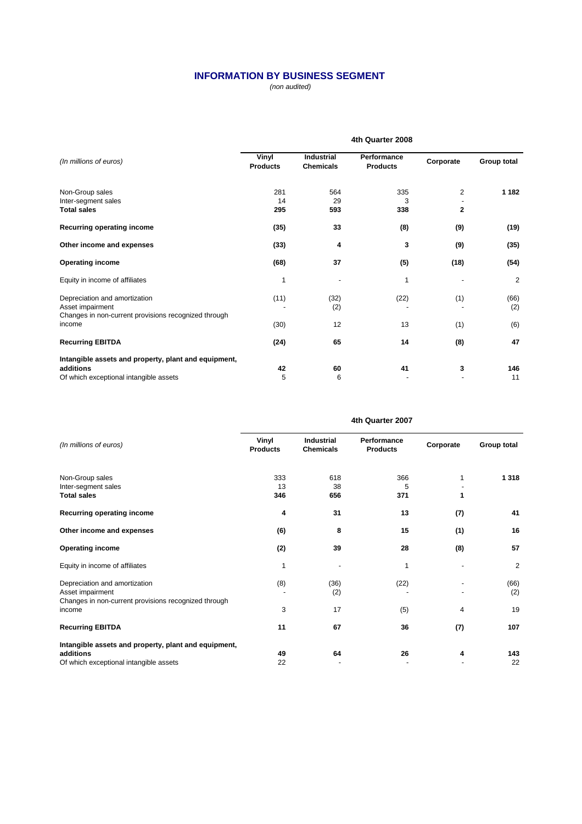# **INFORMATION BY BUSINESS SEGMENT**

(non audited)

|                                                                                                             | 4th Quarter 2008         |                                |                                |                                  |                |  |  |
|-------------------------------------------------------------------------------------------------------------|--------------------------|--------------------------------|--------------------------------|----------------------------------|----------------|--|--|
| (In millions of euros)                                                                                      | Vinyl<br><b>Products</b> | Industrial<br><b>Chemicals</b> | Performance<br><b>Products</b> | Corporate                        | Group total    |  |  |
| Non-Group sales<br>Inter-segment sales<br><b>Total sales</b>                                                | 281<br>14<br>295         | 564<br>29<br>593               | 335<br>3<br>338                | $\overline{2}$<br>$\overline{2}$ | 1 1 8 2        |  |  |
| Recurring operating income                                                                                  | (35)                     | 33                             | (8)                            | (9)                              | (19)           |  |  |
| Other income and expenses                                                                                   | (33)                     | 4                              | 3                              | (9)                              | (35)           |  |  |
| <b>Operating income</b>                                                                                     | (68)                     | 37                             | (5)                            | (18)                             | (54)           |  |  |
| Equity in income of affiliates                                                                              | 1                        |                                | 1                              |                                  | $\overline{2}$ |  |  |
| Depreciation and amortization<br>Asset impairment<br>Changes in non-current provisions recognized through   | (11)                     | (32)<br>(2)                    | (22)                           | (1)                              | (66)<br>(2)    |  |  |
| income                                                                                                      | (30)                     | 12                             | 13                             | (1)                              | (6)            |  |  |
| <b>Recurring EBITDA</b>                                                                                     | (24)                     | 65                             | 14                             | (8)                              | 47             |  |  |
| Intangible assets and property, plant and equipment,<br>additions<br>Of which exceptional intangible assets | 42<br>5                  | 60<br>6                        | 41                             | 3                                | 146<br>11      |  |  |

| (In millions of euros)                                         | Vinyl<br><b>Products</b> | <b>Industrial</b><br><b>Chemicals</b> | Performance<br><b>Products</b> | Corporate | Group total    |
|----------------------------------------------------------------|--------------------------|---------------------------------------|--------------------------------|-----------|----------------|
| Non-Group sales                                                | 333                      | 618                                   | 366                            |           | 1 3 1 8        |
| Inter-segment sales                                            | 13                       | 38                                    | 5                              |           |                |
| <b>Total sales</b>                                             | 346                      | 656                                   | 371                            |           |                |
| Recurring operating income                                     | 4                        | 31                                    | 13                             | (7)       | 41             |
| Other income and expenses                                      | (6)                      | 8                                     | 15                             | (1)       | 16             |
| <b>Operating income</b>                                        | (2)                      | 39                                    | 28                             | (8)       | 57             |
| Equity in income of affiliates                                 | 1                        |                                       | 1                              |           | $\overline{2}$ |
| Depreciation and amortization                                  | (8)                      | (36)                                  | (22)                           |           | (66)           |
| Asset impairment                                               |                          | (2)                                   |                                |           | (2)            |
| Changes in non-current provisions recognized through<br>income | 3                        | 17                                    | (5)                            | 4         | 19             |
| <b>Recurring EBITDA</b>                                        | 11                       | 67                                    | 36                             | (7)       | 107            |
| Intangible assets and property, plant and equipment,           |                          |                                       |                                |           |                |
| additions                                                      | 49                       | 64                                    | 26                             | 4         | 143            |
| Of which exceptional intangible assets                         | 22                       |                                       |                                |           | 22             |

### **4th Quarter 2007**